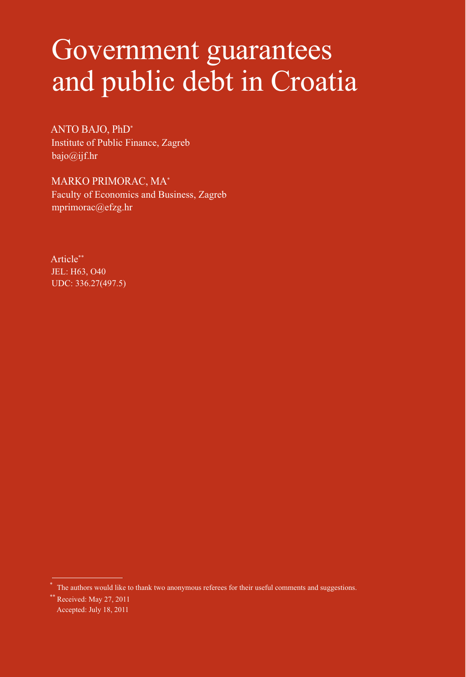# Government guarantees and public debt in Croatia

ANTO BAJO, PhD\*1 Institute of Public Finance, Zagreb bajo@ijf.hr

MARKO PRIMORAC, MA\* Faculty of Economics and Business, Zagreb mprimorac@efzg.hr

Article\*\* JEL: H63, O40 UDC: 336.27(497.5)

The authors would like to thank two anonymous referees for their useful comments and suggestions.

<sup>\*\*</sup> Received: May 27, 2011 Accepted: July 18, 2011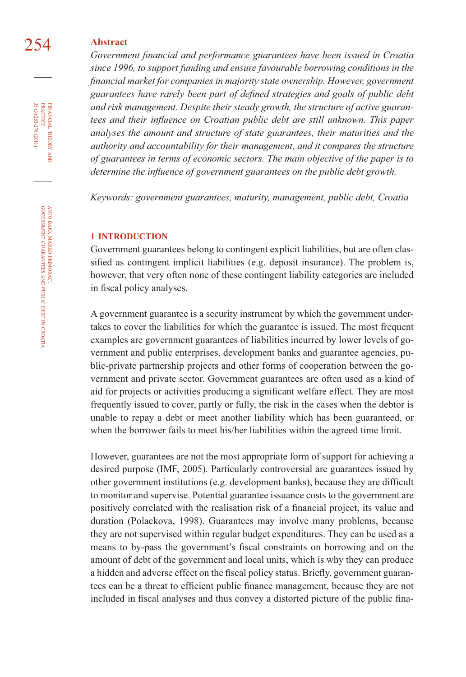# 254 **Abstract**

Government financial and performance guarantees have been issued in Croatia *since 1996, to support funding and ensure favourable borrowing conditions in the fi nancial market for companies in majority state ownership. However, government*  guarantees have rarely been part of defined strategies and goals of public debt *and risk management. Despite their steady growth, the structure of active guaran*tees and their influence on Croatian public debt are still unknown. This paper *analyses the amount and structure of state guarantees, their maturities and the authority and accountability for their management, and it compares the structure of guarantees in terms of economic sectors. The main objective of the paper is to determine the influence of government guarantees on the public debt growth.* 

*Keywords: government guarantees, maturity, management, public debt, Croatia*

#### **1 INTRODUCTION**

Government guarantees belong to contingent explicit liabilities, but are often classified as contingent implicit liabilities (e.g. deposit insurance). The problem is, however, that very often none of these contingent liability categories are included in fiscal policy analyses.

A government guarantee is a security instrument by which the government undertakes to cover the liabilities for which the guarantee is issued. The most frequent examples are government guarantees of liabilities incurred by lower levels of government and public enterprises, development banks and guarantee agencies, public-private partnership projects and other forms of cooperation between the government and private sector. Government guarantees are often used as a kind of aid for projects or activities producing a significant welfare effect. They are most frequently issued to cover, partly or fully, the risk in the cases when the debtor is unable to repay a debt or meet another liability which has been guaranteed, or when the borrower fails to meet his/her liabilities within the agreed time limit.

However, guarantees are not the most appropriate form of support for achieving a desired purpose (IMF, 2005). Particularly controversial are guarantees issued by other government institutions (e.g. development banks), because they are difficult to monitor and supervise. Potential guarantee issuance costs to the government are positively correlated with the realisation risk of a financial project, its value and duration (Polackova, 1998). Guarantees may involve many problems, because they are not supervised within regular budget expenditures. They can be used as a means to by-pass the government's fiscal constraints on borrowing and on the amount of debt of the government and local units, which is why they can produce a hidden and adverse effect on the fiscal policy status. Briefly, government guarantees can be a threat to efficient public finance management, because they are not included in fiscal analyses and thus convey a distorted picture of the public fina-

FINANCIAL THEORY AND PRACTICE 35 (3) 253-276 (2011) 35 (3) 253-276 (2011) PRACTICE FINANCIAL THEORY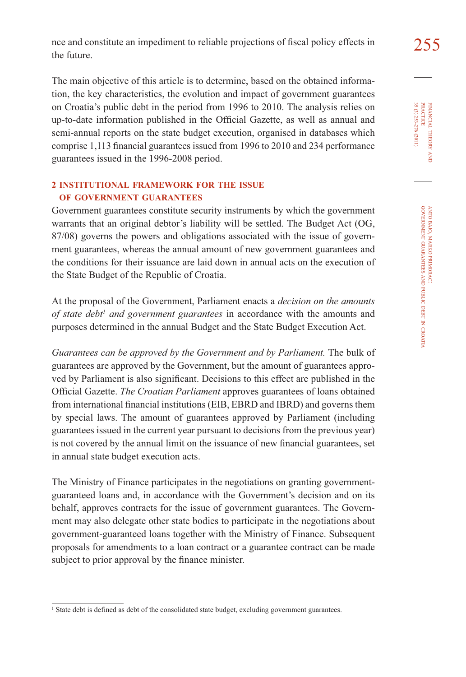The main objective of this article is to determine, based on the obtained information, the key characteristics, the evolution and impact of government guarantees on Croatia's public debt in the period from 1996 to 2010. The analysis relies on up-to-date information published in the Official Gazette, as well as annual and semi-annual reports on the state budget execution, organised in databases which comprise 1,113 financial guarantees issued from 1996 to 2010 and 234 performance guarantees issued in the 1996-2008 period.

# **2 INSTITUTIONAL FRAMEWORK FOR THE ISSUE OF GOVERNMENT GUARANTEES**

Government guarantees constitute security instruments by which the government warrants that an original debtor's liability will be settled. The Budget Act (OG, 87/08) governs the powers and obligations associated with the issue of government guarantees, whereas the annual amount of new government guarantees and the conditions for their issuance are laid down in annual acts on the execution of the State Budget of the Republic of Croatia.

At the proposal of the Government, Parliament enacts a *decision on the amounts*  of state debt<sup>1</sup> and government guarantees in accordance with the amounts and purposes determined in the annual Budget and the State Budget Execution Act.

*Guarantees can be approved by the Government and by Parliament.* The bulk of guarantees are approved by the Government, but the amount of guarantees approved by Parliament is also significant. Decisions to this effect are published in the Official Gazette. *The Croatian Parliament* approves guarantees of loans obtained from international financial institutions (EIB, EBRD and IBRD) and governs them by special laws. The amount of guarantees approved by Parliament (including guarantees issued in the current year pursuant to decisions from the previous year) is not covered by the annual limit on the issuance of new financial guarantees, set in annual state budget execution acts.

The Ministry of Finance participates in the negotiations on granting governmentguaranteed loans and, in accordance with the Government's decision and on its behalf, approves contracts for the issue of government guarantees. The Government may also delegate other state bodies to participate in the negotiations about government-guaranteed loans together with the Ministry of Finance. Subsequent proposals for amendments to a loan contract or a guarantee contract can be made subject to prior approval by the finance minister.

<sup>&</sup>lt;sup>1</sup> State debt is defined as debt of the consolidated state budget, excluding government guarantees.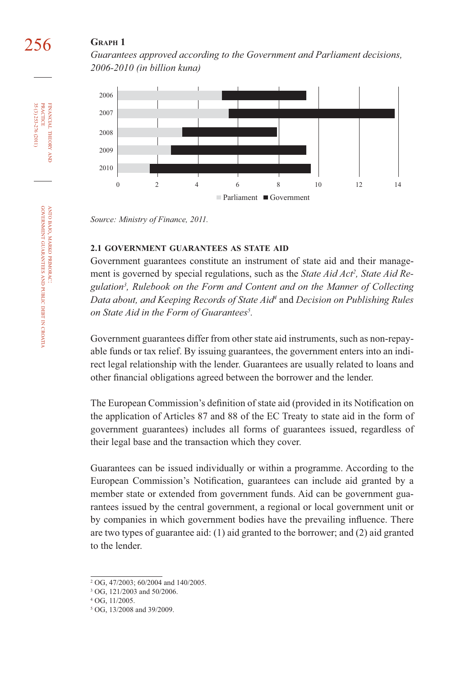# **GRAPH 1**

*Guarantees approved according to the Government and Parliament decisions, 2006-2010 (in billion kuna)*



*Source: Ministry of Finance, 2011.*

#### **2.1 GOVERNMENT GUARANTEES AS STATE AID**

Government guarantees constitute an instrument of state aid and their management is governed by special regulations, such as the *State Aid Act2 , State Aid Regulation3 , Rulebook on the Form and Content and on the Manner of Collecting Data about, and Keeping Records of State Aid4* and *Decision on Publishing Rules on State Aid in the Form of Guarantees5 .* 

Government guarantees differ from other state aid instruments, such as non-repayable funds or tax relief. By issuing guarantees, the government enters into an indirect legal relationship with the lender. Guarantees are usually related to loans and other financial obligations agreed between the borrower and the lender.

The European Commission's definition of state aid (provided in its Notification on the application of Articles 87 and 88 of the EC Treaty to state aid in the form of government guarantees) includes all forms of guarantees issued, regardless of their legal base and the transaction which they cover.

Guarantees can be issued individually or within a programme. According to the European Commission's Notification, guarantees can include aid granted by a member state or extended from government funds. Aid can be government guarantees issued by the central government, a regional or local government unit or by companies in which government bodies have the prevailing influence. There are two types of guarantee aid: (1) aid granted to the borrower; and (2) aid granted to the lender.

ANTO

FINANCIAL

FINANCIAL THEORY<br>PRACTICE 35 (3) 253-276 (2011)

35 (3) 253-276 (2011) PRACTICE

THEORY AND

GOVERNMENT

GUARANTEES

AND PUBLIC

DEBT IN

CROATIA

BAJO, MARKO

PRIMORAC:

<sup>2</sup> OG, 47/2003; 60/2004 and 140/2005.

<sup>3</sup> OG, 121/2003 and 50/2006.

<sup>4</sup> OG, 11/2005.

<sup>5</sup> OG, 13/2008 and 39/2009.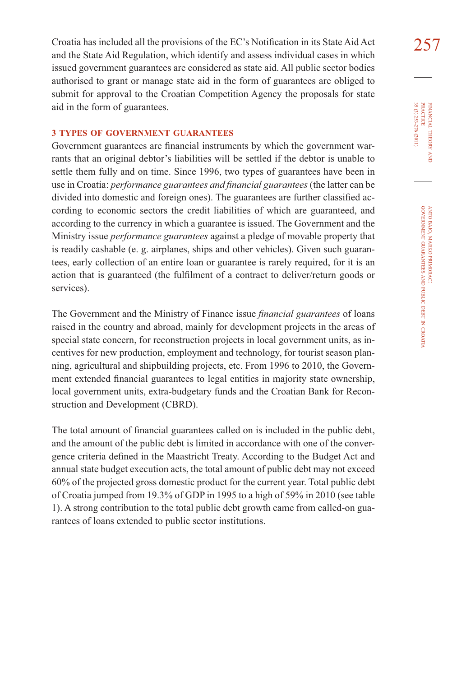Croatia has included all the provisions of the EC's Notification in its State Aid Act  $257$ and the State Aid Regulation, which identify and assess individual cases in which issued government guarantees are considered as state aid. All public sector bodies authorised to grant or manage state aid in the form of guarantees are obliged to submit for approval to the Croatian Competition Agency the proposals for state aid in the form of guarantees.

# **3 TYPES OF GOVERNMENT GUARANTEES**

Government guarantees are financial instruments by which the government warrants that an original debtor's liabilities will be settled if the debtor is unable to settle them fully and on time. Since 1996, two types of guarantees have been in use in Croatia: *performance guarantees and fi nancial guarantees* (the latter can be divided into domestic and foreign ones). The guarantees are further classified according to economic sectors the credit liabilities of which are guaranteed, and according to the currency in which a guarantee is issued. The Government and the Ministry issue *performance guarantees* against a pledge of movable property that is readily cashable (e. g. airplanes, ships and other vehicles). Given such guarantees, early collection of an entire loan or guarantee is rarely required, for it is an action that is guaranteed (the fulfilment of a contract to deliver/return goods or services).

The Government and the Ministry of Finance issue *financial guarantees* of loans raised in the country and abroad, mainly for development projects in the areas of special state concern, for reconstruction projects in local government units, as incentives for new production, employment and technology, for tourist season planning, agricultural and shipbuilding projects, etc. From 1996 to 2010, the Government extended financial guarantees to legal entities in majority state ownership, local government units, extra-budgetary funds and the Croatian Bank for Reconstruction and Development (CBRD).

The total amount of financial guarantees called on is included in the public debt, and the amount of the public debt is limited in accordance with one of the convergence criteria defined in the Maastricht Treaty. According to the Budget Act and annual state budget execution acts, the total amount of public debt may not exceed 60% of the projected gross domestic product for the current year. Total public debt of Croatia jumped from 19.3% of GDP in 1995 to a high of 59% in 2010 (see table 1). A strong contribution to the total public debt growth came from called-on guarantees of loans extended to public sector institutions.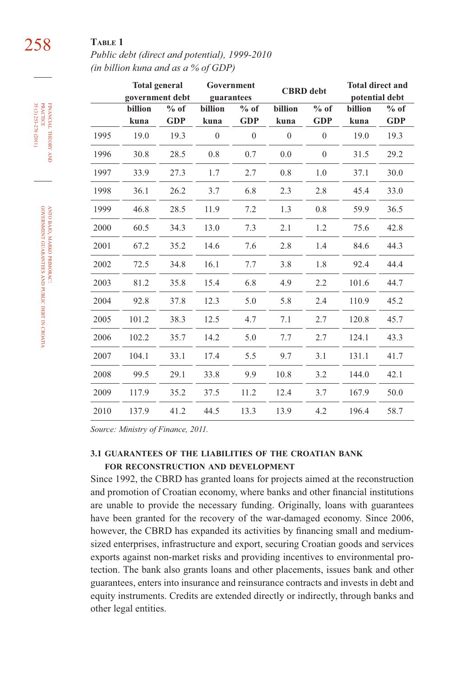# 258 **TABLE 1**

*Public debt (direct and potential), 1999-2010 (in billion kuna and as a % of GDP)*

|      | <b>Total general</b><br>government debt |                      | guarantees      | Government           | <b>CBRD</b> debt |                      |                 | <b>Total direct and</b><br>potential debt |  |
|------|-----------------------------------------|----------------------|-----------------|----------------------|------------------|----------------------|-----------------|-------------------------------------------|--|
|      | billion<br>kuna                         | $%$ of<br><b>GDP</b> | billion<br>kuna | $%$ of<br><b>GDP</b> | billion<br>kuna  | $%$ of<br><b>GDP</b> | billion<br>kuna | $%$ of<br><b>GDP</b>                      |  |
| 1995 | 19.0                                    | 19.3                 | $\theta$        | $\theta$             | $\mathbf{0}$     | $\theta$             | 19.0            | 19.3                                      |  |
| 1996 | 30.8                                    | 28.5                 | 0.8             | 0.7                  | 0.0              | $\mathbf{0}$         | 31.5            | 29.2                                      |  |
| 1997 | 33.9                                    | 27.3                 | 1.7             | 2.7                  | 0.8              | 1.0                  | 37.1            | 30.0                                      |  |
| 1998 | 36.1                                    | 26.2                 | 3.7             | 6.8                  | 2.3              | 2.8                  | 45.4            | 33.0                                      |  |
| 1999 | 46.8                                    | 28.5                 | 11.9            | 7.2                  | 1.3              | 0.8                  | 59.9            | 36.5                                      |  |
| 2000 | 60.5                                    | 34.3                 | 13.0            | 7.3                  | 2.1              | 1.2                  | 75.6            | 42.8                                      |  |
| 2001 | 67.2                                    | 35.2                 | 14.6            | 7.6                  | 2.8              | 1.4                  | 84.6            | 44.3                                      |  |
| 2002 | 72.5                                    | 34.8                 | 16.1            | 7.7                  | 3.8              | 1.8                  | 92.4            | 44.4                                      |  |
| 2003 | 81.2                                    | 35.8                 | 15.4            | 6.8                  | 4.9              | 2.2                  | 101.6           | 44.7                                      |  |
| 2004 | 92.8                                    | 37.8                 | 12.3            | 5.0                  | 5.8              | 2.4                  | 110.9           | 45.2                                      |  |
| 2005 | 101.2                                   | 38.3                 | 12.5            | 4.7                  | 7.1              | 2.7                  | 120.8           | 45.7                                      |  |
| 2006 | 102.2                                   | 35.7                 | 14.2            | 5.0                  | 7.7              | 2.7                  | 124.1           | 43.3                                      |  |
| 2007 | 104.1                                   | 33.1                 | 17.4            | 5.5                  | 9.7              | 3.1                  | 131.1           | 41.7                                      |  |
| 2008 | 99.5                                    | 29.1                 | 33.8            | 9.9                  | 10.8             | 3.2                  | 144.0           | 42.1                                      |  |
| 2009 | 117.9                                   | 35.2                 | 37.5            | 11.2                 | 12.4             | 3.7                  | 167.9           | 50.0                                      |  |
| 2010 | 137.9                                   | 41.2                 | 44.5            | 13.3                 | 13.9             | 4.2                  | 196.4           | 58.7                                      |  |

*Source: Ministry of Finance, 2011.*

# **3.1 GUARANTEES OF THE LIABILITIES OF THE CROATIAN BANK FOR RECONSTRUCTION AND DEVELOPMENT**

Since 1992, the CBRD has granted loans for projects aimed at the reconstruction and promotion of Croatian economy, where banks and other financial institutions are unable to provide the necessary funding. Originally, loans with guarantees have been granted for the recovery of the war-damaged economy. Since 2006, however, the CBRD has expanded its activities by financing small and mediumsized enterprises, infrastructure and export, securing Croatian goods and services exports against non-market risks and providing incentives to environmental protection. The bank also grants loans and other placements, issues bank and other guarantees, enters into insurance and reinsurance contracts and invests in debt and equity instruments. Credits are extended directly or indirectly, through banks and other legal entities.

FINANCIAL

35 (3) 253-276 (2011)

THEORY FINANCIAL THEORY AND PRACTICE 35 (3) 253-276 (2011) PRACTICE

> ANTO BAJO, MARKO PRIMORAC: GOVERNMENT GUARANTEES AND PUBLIC DEBT IN CROATIA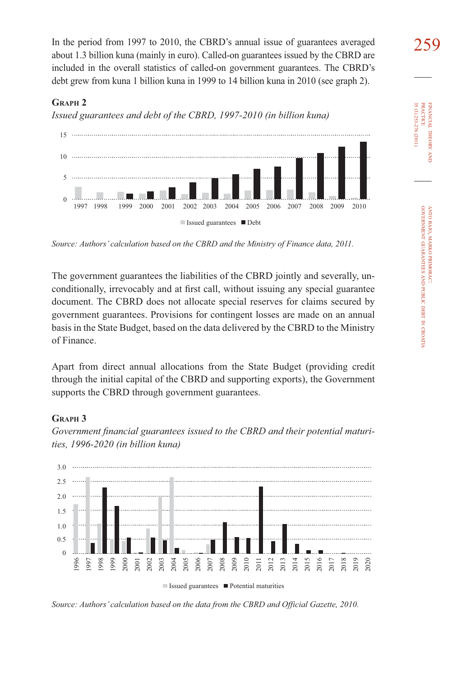In the period from 1997 to 2010, the CBRD's annual issue of guarantees averaged about 1.3 billion kuna (mainly in euro). Called-on guarantees issued by the CBRD are included in the overall statistics of called-on government guarantees. The CBRD's debt grew from kuna 1 billion kuna in 1999 to 14 billion kuna in 2010 (see graph 2).

# **GRAPH 2**

*Issued guarantees and debt of the CBRD, 1997-2010 (in billion kuna)*



*Source: Authors' calculation based on the CBRD and the Ministry of Finance data, 2011.*

The government guarantees the liabilities of the CBRD jointly and severally, unconditionally, irrevocably and at first call, without issuing any special guarantee document. The CBRD does not allocate special reserves for claims secured by government guarantees. Provisions for contingent losses are made on an annual basis in the State Budget, based on the data delivered by the CBRD to the Ministry of Finance.

Apart from direct annual allocations from the State Budget (providing credit through the initial capital of the CBRD and supporting exports), the Government supports the CBRD through government guarantees.

# **GRAPH 3**



Government financial guarantees issued to the CBRD and their potential maturi*ties, 1996-2020 (in billion kuna)*

*Source: Authors' calculation based on the data from the CBRD and Official Gazette, 2010.*

FINANCIAL

35 (3) 253-276 (2011) PRACTICE

35 (3) 253-276 (2011) **PRACTICE** FINANCIAL THEORY

THEORY AND

CROATIA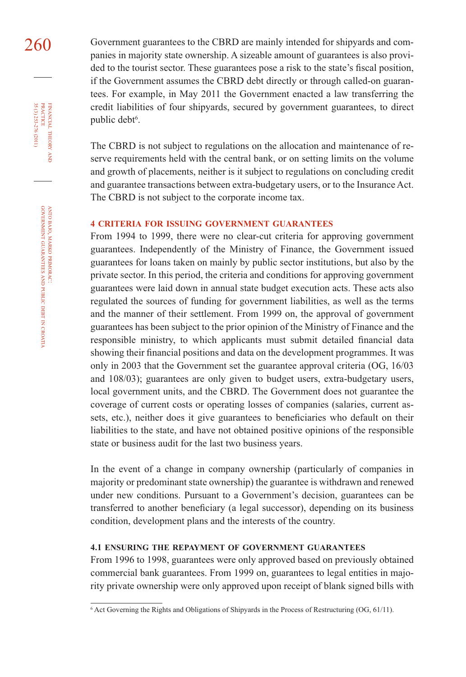260 Government guarantees to the CBRD are mainly intended for shipyards and companies in majority state ownership. A sizeable amount of guarantees is also provided to the tourist sector. These guarantees pose a risk to the state's fiscal position, if the Government assumes the CBRD debt directly or through called-on guarantees. For example, in May 2011 the Government enacted a law transferring the credit liabilities of four shipyards, secured by government guarantees, to direct public debt<sup>6</sup>.

> The CBRD is not subject to regulations on the allocation and maintenance of reserve requirements held with the central bank, or on setting limits on the volume and growth of placements, neither is it subject to regulations on concluding credit and guarantee transactions between extra-budgetary users, or to the Insurance Act. The CBRD is not subject to the corporate income tax.

#### **4 CRITERIA FOR ISSUING GOVERNMENT GUARANTEES**

From 1994 to 1999, there were no clear-cut criteria for approving government guarantees. Independently of the Ministry of Finance, the Government issued guarantees for loans taken on mainly by public sector institutions, but also by the private sector. In this period, the criteria and conditions for approving government guarantees were laid down in annual state budget execution acts. These acts also regulated the sources of funding for government liabilities, as well as the terms and the manner of their settlement. From 1999 on, the approval of government guarantees has been subject to the prior opinion of the Ministry of Finance and the responsible ministry, to which applicants must submit detailed financial data showing their financial positions and data on the development programmes. It was only in 2003 that the Government set the guarantee approval criteria (OG, 16/03 and 108/03); guarantees are only given to budget users, extra-budgetary users, local government units, and the CBRD. The Government does not guarantee the coverage of current costs or operating losses of companies (salaries, current assets, etc.), neither does it give guarantees to beneficiaries who default on their liabilities to the state, and have not obtained positive opinions of the responsible state or business audit for the last two business years.

In the event of a change in company ownership (particularly of companies in majority or predominant state ownership) the guarantee is withdrawn and renewed under new conditions. Pursuant to a Government's decision, guarantees can be transferred to another beneficiary (a legal successor), depending on its business condition, development plans and the interests of the country.

# **4.1 ENSURING THE REPAYMENT OF GOVERNMENT GUARANTEES**

From 1996 to 1998, guarantees were only approved based on previously obtained commercial bank guarantees. From 1999 on, guarantees to legal entities in majority private ownership were only approved upon receipt of blank signed bills with

FINANCIAL

35 (3) 253-276 (2011) PRACTICE

35 (3) 253-276 (2011)

THEORY

AND PUBLIC

DEBT IN

CROATIA

<sup>6</sup> Act Governing the Rights and Obligations of Shipyards in the Process of Restructuring (OG, 61/11).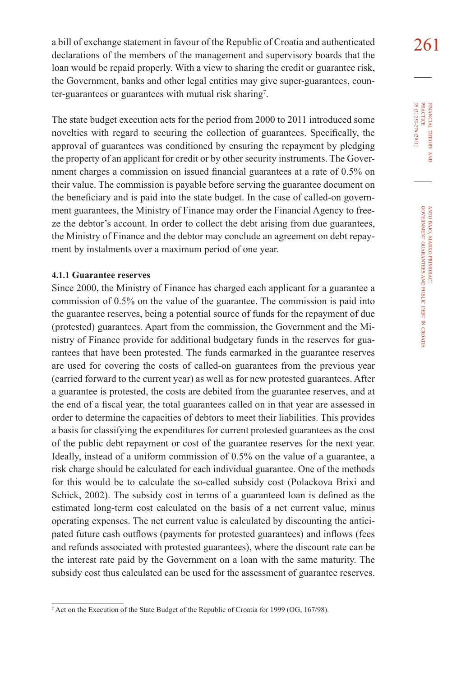a bill of exchange statement in favour of the Republic of Croatia and authenticated  $261$ declarations of the members of the management and supervisory boards that the loan would be repaid properly. With a view to sharing the credit or guarantee risk, the Government, banks and other legal entities may give super-guarantees, counter-guarantees or guarantees with mutual risk sharing<sup>7</sup>.

The state budget execution acts for the period from 2000 to 2011 introduced some novelties with regard to securing the collection of guarantees. Specifically, the approval of guarantees was conditioned by ensuring the repayment by pledging the property of an applicant for credit or by other security instruments. The Government charges a commission on issued financial guarantees at a rate of  $0.5\%$  on their value. The commission is payable before serving the guarantee document on the beneficiary and is paid into the state budget. In the case of called-on government guarantees, the Ministry of Finance may order the Financial Agency to freeze the debtor's account. In order to collect the debt arising from due guarantees, the Ministry of Finance and the debtor may conclude an agreement on debt repayment by instalments over a maximum period of one year.

### **4.1.1 Guarantee reserves**

Since 2000, the Ministry of Finance has charged each applicant for a guarantee a commission of 0.5% on the value of the guarantee. The commission is paid into the guarantee reserves, being a potential source of funds for the repayment of due (protested) guarantees. Apart from the commission, the Government and the Ministry of Finance provide for additional budgetary funds in the reserves for guarantees that have been protested. The funds earmarked in the guarantee reserves are used for covering the costs of called-on guarantees from the previous year (carried forward to the current year) as well as for new protested guarantees. After a guarantee is protested, the costs are debited from the guarantee reserves, and at the end of a fiscal year, the total guarantees called on in that year are assessed in order to determine the capacities of debtors to meet their liabilities. This provides a basis for classifying the expenditures for current protested guarantees as the cost of the public debt repayment or cost of the guarantee reserves for the next year. Ideally, instead of a uniform commission of 0.5% on the value of a guarantee, a risk charge should be calculated for each individual guarantee. One of the methods for this would be to calculate the so-called subsidy cost (Polackova Brixi and Schick, 2002). The subsidy cost in terms of a guaranteed loan is defined as the estimated long-term cost calculated on the basis of a net current value, minus operating expenses. The net current value is calculated by discounting the anticipated future cash outflows (payments for protested guarantees) and inflows (fees and refunds associated with protested guarantees), where the discount rate can be the interest rate paid by the Government on a loan with the same maturity. The subsidy cost thus calculated can be used for the assessment of guarantee reserves.

<sup>7</sup> Act on the Execution of the State Budget of the Republic of Croatia for 1999 (OG, 167/98).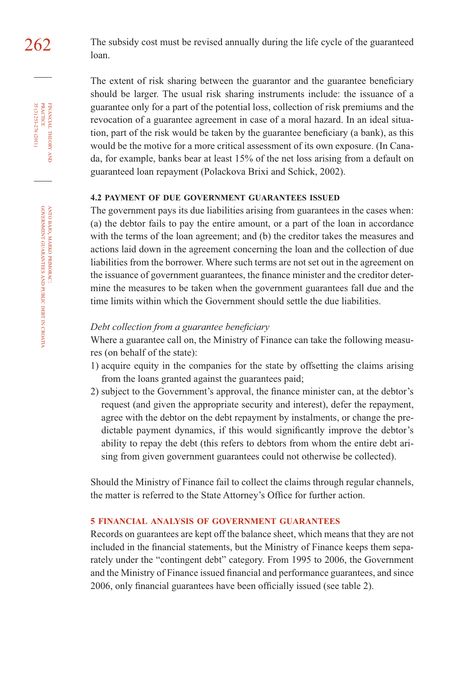262 The subsidy cost must be revised annually during the life cycle of the guaranteed loan.

> The extent of risk sharing between the guarantor and the guarantee beneficiary should be larger. The usual risk sharing instruments include: the issuance of a guarantee only for a part of the potential loss, collection of risk premiums and the revocation of a guarantee agreement in case of a moral hazard. In an ideal situation, part of the risk would be taken by the guarantee beneficiary (a bank), as this would be the motive for a more critical assessment of its own exposure. (In Canada, for example, banks bear at least 15% of the net loss arising from a default on guaranteed loan repayment (Polackova Brixi and Schick, 2002).

# **4.2 PAYMENT OF DUE GOVERNMENT GUARANTEES ISSUED**

The government pays its due liabilities arising from guarantees in the cases when: (a) the debtor fails to pay the entire amount, or a part of the loan in accordance with the terms of the loan agreement; and (b) the creditor takes the measures and actions laid down in the agreement concerning the loan and the collection of due liabilities from the borrower. Where such terms are not set out in the agreement on the issuance of government guarantees, the finance minister and the creditor determine the measures to be taken when the government guarantees fall due and the time limits within which the Government should settle the due liabilities.

#### *Debt collection from a guarantee beneficiary*

Where a guarantee call on, the Ministry of Finance can take the following measures (on behalf of the state):

- 1) acquire equity in the companies for the state by offsetting the claims arising from the loans granted against the guarantees paid;
- 2) subject to the Government's approval, the finance minister can, at the debtor's request (and given the appropriate security and interest), defer the repayment, agree with the debtor on the debt repayment by instalments, or change the predictable payment dynamics, if this would significantly improve the debtor's ability to repay the debt (this refers to debtors from whom the entire debt arising from given government guarantees could not otherwise be collected).

Should the Ministry of Finance fail to collect the claims through regular channels, the matter is referred to the State Attorney's Office for further action.

### **5 FINANCIAL ANALYSIS OF GOVERNMENT GUARANTEES**

Records on guarantees are kept off the balance sheet, which means that they are not included in the financial statements, but the Ministry of Finance keeps them separately under the "contingent debt" category. From 1995 to 2006, the Government and the Ministry of Finance issued financial and performance guarantees, and since 2006, only financial guarantees have been officially issued (see table 2).

FINANCIAL

35 (3) 253-276 (2011)

THEORY FINANCIAL THEORY AND PRACTICE 35 (3) 253-276 (2011) PRACTICE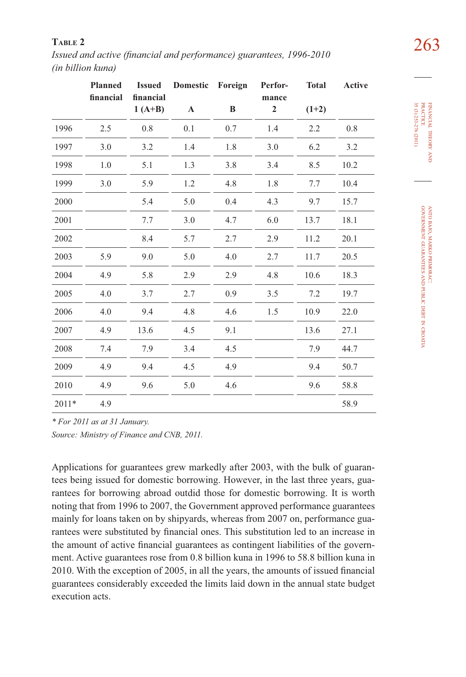263 **TABLE 2** *Issued and active (fi nancial and performance) guarantees, 1996-2010 (in billion kuna)*

|       | <b>Planned</b><br>financial | <b>Issued</b><br>financial | Domestic Foreign |     | Perfor-<br>mance | <b>Total</b> | Active |
|-------|-----------------------------|----------------------------|------------------|-----|------------------|--------------|--------|
|       |                             | $1(A+B)$                   | A                | B   | $\overline{2}$   | $(1+2)$      |        |
| 1996  | 2.5                         | 0.8                        | 0.1              | 0.7 | 1.4              | 2.2          | 0.8    |
| 1997  | 3.0                         | 3.2                        | 1.4              | 1.8 | 3.0              | 6.2          | 3.2    |
| 1998  | 1.0                         | 5.1                        | 1.3              | 3.8 | 3.4              | 8.5          | 10.2   |
| 1999  | 3.0                         | 5.9                        | 1.2              | 4.8 | 1.8              | 7.7          | 10.4   |
| 2000  |                             | 5.4                        | 5.0              | 0.4 | 4.3              | 9.7          | 15.7   |
| 2001  |                             | 7.7                        | 3.0              | 4.7 | 6.0              | 13.7         | 18.1   |
| 2002  |                             | 8.4                        | 5.7              | 2.7 | 2.9              | 11.2         | 20.1   |
| 2003  | 5.9                         | 9.0                        | 5.0              | 4.0 | 2.7              | 11.7         | 20.5   |
| 2004  | 4.9                         | 5.8                        | 2.9              | 2.9 | 4.8              | 10.6         | 18.3   |
| 2005  | 4.0                         | 3.7                        | 2.7              | 0.9 | 3.5              | 7.2          | 19.7   |
| 2006  | 4.0                         | 9.4                        | 4.8              | 4.6 | 1.5              | 10.9         | 22.0   |
| 2007  | 4.9                         | 13.6                       | 4.5              | 9.1 |                  | 13.6         | 27.1   |
| 2008  | 7.4                         | 7.9                        | 3.4              | 4.5 |                  | 7.9          | 44.7   |
| 2009  | 4.9                         | 9.4                        | 4.5              | 4.9 |                  | 9.4          | 50.7   |
| 2010  | 4.9                         | 9.6                        | 5.0              | 4.6 |                  | 9.6          | 58.8   |
| 2011* | 4.9                         |                            |                  |     |                  |              | 58.9   |

FINANCIAL THEORY FINANCIAL THEORY AND<br>PRACTICE<br>35 (3) 253-276 (2011) 35 (3) 253-276 (2011) PRACTICE

*\* For 2011 as at 31 January.*

*Source: Ministry of Finance and CNB, 2011.* 

Applications for guarantees grew markedly after 2003, with the bulk of guarantees being issued for domestic borrowing. However, in the last three years, guarantees for borrowing abroad outdid those for domestic borrowing. It is worth noting that from 1996 to 2007, the Government approved performance guarantees mainly for loans taken on by shipyards, whereas from 2007 on, performance guarantees were substituted by financial ones. This substitution led to an increase in the amount of active financial guarantees as contingent liabilities of the government. Active guarantees rose from 0.8 billion kuna in 1996 to 58.8 billion kuna in 2010. With the exception of 2005, in all the years, the amounts of issued financial guarantees considerably exceeded the limits laid down in the annual state budget execution acts.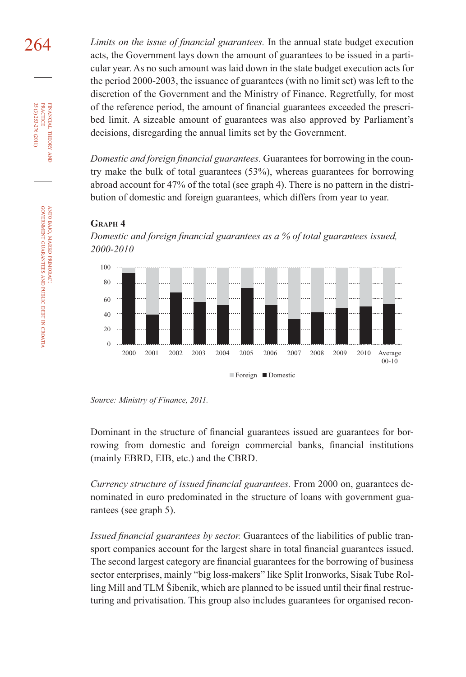264 *Limits on the issue of financial guarantees*. In the annual state budget execution acts, the Government lays down the amount of guarantees to be issued in a particular year. As no such amount was laid down in the state budget execution acts for the period 2000-2003, the issuance of guarantees (with no limit set) was left to the discretion of the Government and the Ministry of Finance. Regretfully, for most of the reference period, the amount of financial guarantees exceeded the prescribed limit. A sizeable amount of guarantees was also approved by Parliament's decisions, disregarding the annual limits set by the Government.

> *Domestic and foreign financial guarantees.* Guarantees for borrowing in the country make the bulk of total guarantees (53%), whereas guarantees for borrowing abroad account for 47% of the total (see graph 4). There is no pattern in the distribution of domestic and foreign guarantees, which differs from year to year.

#### **GRAPH 4**





*Source: Ministry of Finance, 2011.*

Dominant in the structure of financial guarantees issued are guarantees for borrowing from domestic and foreign commercial banks, financial institutions (mainly EBRD, EIB, etc.) and the CBRD.

*Currency structure of issued financial guarantees.* From 2000 on, guarantees denominated in euro predominated in the structure of loans with government guarantees (see graph 5).

*Issued financial guarantees by sector.* Guarantees of the liabilities of public transport companies account for the largest share in total financial guarantees issued. The second largest category are financial guarantees for the borrowing of business sector enterprises, mainly "big loss-makers" like Split Ironworks, Sisak Tube Rolling Mill and TLM Šibenik, which are planned to be issued until their final restructuring and privatisation. This group also includes guarantees for organised recon-

FINANCIAL

FINANCIAL THEORY<br>PRACTICE 35 (3) 253-276 (2011)

35 (3) 253-276 (2011) PRACTICE

THEORY AND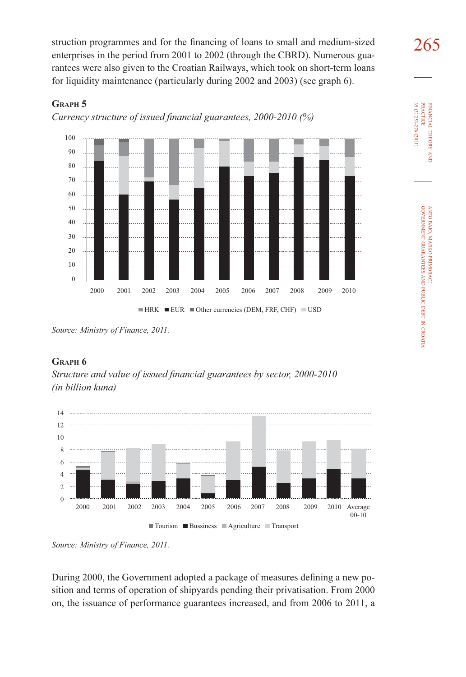struction programmes and for the financing of loans to small and medium-sized  $265$ enterprises in the period from 2001 to 2002 (through the CBRD). Numerous guarantees were also given to the Croatian Railways, which took on short-term loans for liquidity maintenance (particularly during 2002 and 2003) (see graph 6).

# **GRAPH 5**

*Currency structure of issued financial guarantees, 2000-2010 (%)* 



*Source: Ministry of Finance, 2011.*

# **GRAPH 6**

*Structure and value of issued financial guarantees by sector, 2000-2010 (in billion kuna)*



*Source: Ministry of Finance, 2011.*

During 2000, the Government adopted a package of measures defining a new position and terms of operation of shipyards pending their privatisation. From 2000 on, the issuance of performance guarantees increased, and from 2006 to 2011, a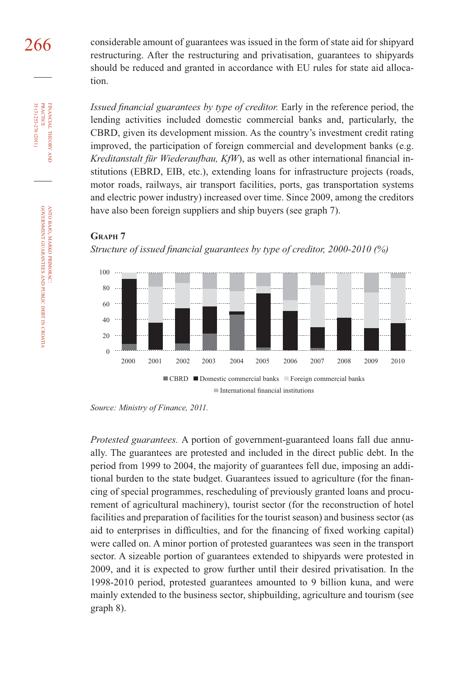266 considerable amount of guarantees was issued in the form of state aid for shipyard restructuring. After the restructuring and privatisation, guarantees to shipyards should be reduced and granted in accordance with EU rules for state aid allocation.

> *Issued financial guarantees by type of creditor.* Early in the reference period, the lending activities included domestic commercial banks and, particularly, the CBRD, given its development mission. As the country's investment credit rating improved, the participation of foreign commercial and development banks (e.g. *Kreditanstalt für Wiederaufbau, KfW*), as well as other international financial institutions (EBRD, EIB, etc.), extending loans for infrastructure projects (roads, motor roads, railways, air transport facilities, ports, gas transportation systems and electric power industry) increased over time. Since 2009, among the creditors have also been foreign suppliers and ship buyers (see graph 7).

# **GRAPH 7**



*Structure of issued financial guarantees by type of creditor, 2000-2010 (%)* 

*Source: Ministry of Finance, 2011.*

*Protested guarantees.* A portion of government-guaranteed loans fall due annually. The guarantees are protested and included in the direct public debt. In the period from 1999 to 2004, the majority of guarantees fell due, imposing an additional burden to the state budget. Guarantees issued to agriculture (for the financing of special programmes, rescheduling of previously granted loans and procurement of agricultural machinery), tourist sector (for the reconstruction of hotel facilities and preparation of facilities for the tourist season) and business sector (as aid to enterprises in difficulties, and for the financing of fixed working capital) were called on. A minor portion of protested guarantees was seen in the transport sector. A sizeable portion of guarantees extended to shipyards were protested in 2009, and it is expected to grow further until their desired privatisation. In the 1998-2010 period, protested guarantees amounted to 9 billion kuna, and were mainly extended to the business sector, shipbuilding, agriculture and tourism (see graph 8).

FINANCIAL

FINANCIAL THEORY<br>PRACTICE 35 (3) 253-276 (2011)

35 (3) 253-276 (2011) PRACTICE

THEORY AND

DEBT IN

CROATIA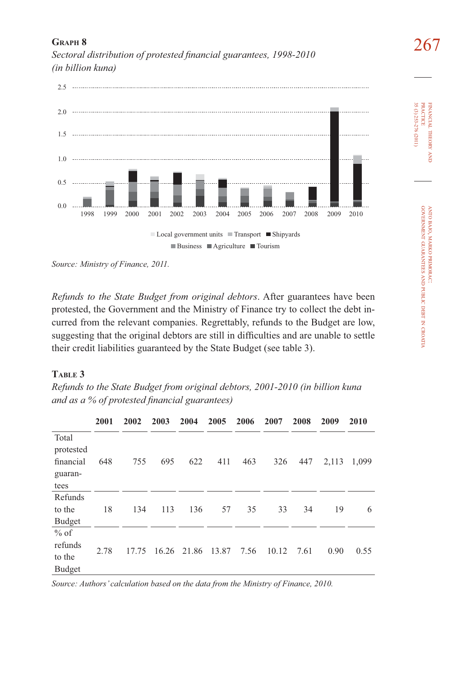

267 **GRAPH 8** *Sectoral distribution of protested fi nancial guarantees, 1998-2010 (in billion kuna)*

*Refunds to the State Budget from original debtors*. After guarantees have been protested, the Government and the Ministry of Finance try to collect the debt incurred from the relevant companies. Regrettably, refunds to the Budget are low, suggesting that the original debtors are still in difficulties and are unable to settle their credit liabilities guaranteed by the State Budget (see table 3).

 $\blacksquare$  Business  $\blacksquare$  Agriculture  $\blacksquare$  Tourism

# **TABLE 3**

| Refunds to the State Budget from original debtors, 2001-2010 (in billion kuna |  |  |
|-------------------------------------------------------------------------------|--|--|
| and as a $\%$ of protested financial guarantees)                              |  |  |

|                                                    | 2001 | 2002  | 2003  | 2004  | 2005  | 2006 | 2007  | 2008 | 2009  | 2010  |
|----------------------------------------------------|------|-------|-------|-------|-------|------|-------|------|-------|-------|
| Total<br>protested<br>financial<br>guaran-<br>tees | 648  | 755   | 695   | 622   | 411   | 463  | 326   | 447  | 2,113 | 1,099 |
| Refunds<br>to the<br><b>Budget</b>                 | 18   | 134   | 113   | 136   | 57    | 35   | 33    | 34   | 19    | 6     |
| $%$ of<br>refunds<br>to the<br><b>Budget</b>       | 2.78 | 17.75 | 16.26 | 21.86 | 13.87 | 7.56 | 10.12 | 7.61 | 0.90  | 0.55  |

*Source: Authors' calculation based on the data from the Ministry of Finance, 2010.*

FINANCIAL

THEORY FINANCIAL THEORY AND<br>PRACTICE<br>35 (3) 253-276 (2011) 35 (3) 253-276 (2011) PRACTICE

> ANTO BAJO, MARKO PRIMORAC: BAJO, MARKO

GOVERNMENT

GUARANTEES

AND PUBLIC

DEBT IN

CROATIA

PRIMORAC:

*Source: Ministry of Finance, 2011.*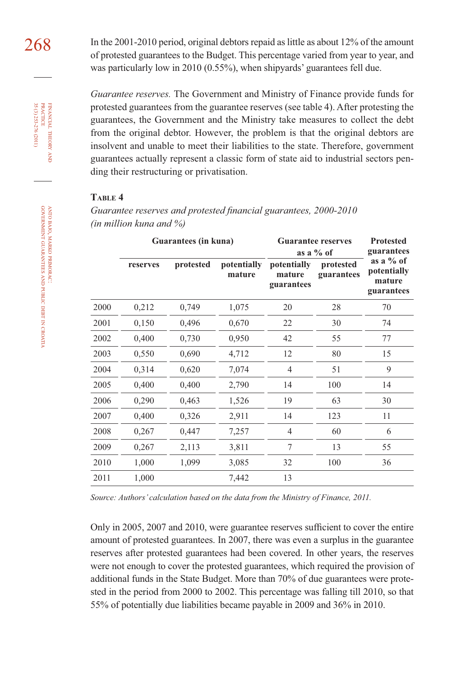268 In the 2001-2010 period, original debtors repaid as little as about 12% of the amount of protested guarantees to the Budget. This percentage varied from year to year, and was particularly low in 2010 (0.55%), when shipyards' guarantees fell due.

> *Guarantee reserves.* The Government and Ministry of Finance provide funds for protested guarantees from the guarantee reserves (see table 4). After protesting the guarantees, the Government and the Ministry take measures to collect the debt from the original debtor. However, the problem is that the original debtors are insolvent and unable to meet their liabilities to the state. Therefore, government guarantees actually represent a classic form of state aid to industrial sectors pending their restructuring or privatisation.

# **TABLE 4**

Guarantee reserves and protested financial guarantees, 2000-2010 *(in million kuna and %)*

|      |          | Guarantees (in kuna) |                       | <b>Guarantee reserves</b><br>as a $\%$ of | <b>Protested</b><br>guarantees |                                                    |  |
|------|----------|----------------------|-----------------------|-------------------------------------------|--------------------------------|----------------------------------------------------|--|
|      | reserves | protested            | potentially<br>mature | potentially<br>mature<br>guarantees       | protested<br>guarantees        | as a $%$ of<br>potentially<br>mature<br>guarantees |  |
| 2000 | 0,212    | 0,749                | 1,075                 | 20                                        | 28                             | 70                                                 |  |
| 2001 | 0,150    | 0,496                | 0,670                 | 22                                        | 30                             | 74                                                 |  |
| 2002 | 0,400    | 0,730                | 0,950                 | 42                                        | 55                             | 77                                                 |  |
| 2003 | 0,550    | 0,690                | 4,712                 | 12                                        | 80                             | 15                                                 |  |
| 2004 | 0,314    | 0,620                | 7,074                 | $\overline{4}$                            | 51                             | 9                                                  |  |
| 2005 | 0,400    | 0,400                | 2,790                 | 14                                        | 100                            | 14                                                 |  |
| 2006 | 0,290    | 0,463                | 1,526                 | 19                                        | 63                             | 30                                                 |  |
| 2007 | 0,400    | 0,326                | 2,911                 | 14                                        | 123                            | 11                                                 |  |
| 2008 | 0,267    | 0,447                | 7,257                 | 4                                         | 60                             | 6                                                  |  |
| 2009 | 0,267    | 2,113                | 3,811                 | 7                                         | 13                             | 55                                                 |  |
| 2010 | 1,000    | 1,099                | 3,085                 | 32                                        | 100                            | 36                                                 |  |
| 2011 | 1,000    |                      | 7,442                 | 13                                        |                                |                                                    |  |

*Source: Authors' calculation based on the data from the Ministry of Finance, 2011.*

Only in 2005, 2007 and 2010, were guarantee reserves sufficient to cover the entire amount of protested guarantees. In 2007, there was even a surplus in the guarantee reserves after protested guarantees had been covered. In other years, the reserves were not enough to cover the protested guarantees, which required the provision of additional funds in the State Budget. More than 70% of due guarantees were protested in the period from 2000 to 2002. This percentage was falling till 2010, so that 55% of potentially due liabilities became payable in 2009 and 36% in 2010.

CROATIA

FINANCIAL

FINANCIAL THEORY<br>PRACTICE 35 (3) 253-276 (2011)

35 (3) 253-276 (2011) PRACTICE

THEORY AND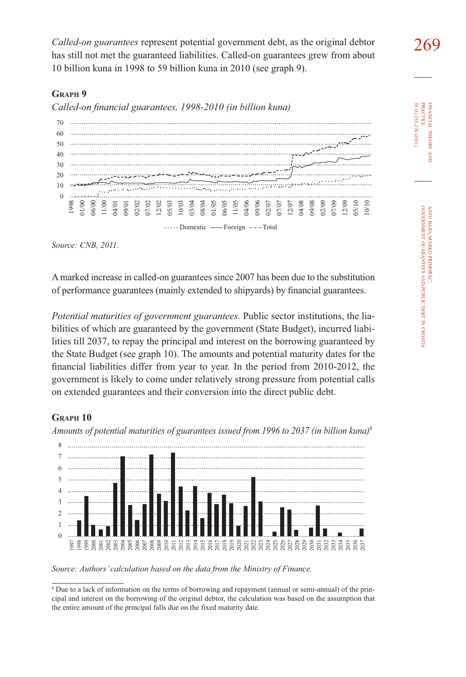269 *Called-on guarantees* represent potential government debt, as the original debtor has still not met the guaranteed liabilities. Called-on guarantees grew from about 10 billion kuna in 1998 to 59 billion kuna in 2010 (see graph 9).

# **GRAPH 9**

Called-on financial guarantees, 1998-2010 (in billion kuna)



*Source: CNB, 2011.*

A marked increase in called-on guarantees since 2007 has been due to the substitution of performance guarantees (mainly extended to shipyards) by financial guarantees.

*Potential maturities of government guarantees.* Public sector institutions, the liabilities of which are guaranteed by the government (State Budget), incurred liabilities till 2037, to repay the principal and interest on the borrowing guaranteed by the State Budget (see graph 10). The amounts and potential maturity dates for the financial liabilities differ from year to year. In the period from 2010-2012, the government is likely to come under relatively strong pressure from potential calls on extended guarantees and their conversion into the direct public debt.

# **GRAPH 10**





*Source: Authors' calculation based on the data from the Ministry of Finance.*

35 (3) 253-276 (2011) **PRACTICE** PRACTICE FINANCIAL 35 (3) 253-276 (2011) FINANCIAL THEORY THEORY AND

<sup>8</sup> Due to a lack of information on the terms of borrowing and repayment (annual or semi-annual) of the principal and interest on the borrowing of the original debtor, the calculation was based on the assumption that the entire amount of the principal falls due on the data from the Minisis<br>Source: Authors' calculation based on the data from the Minisis<br>Nource: Authors' calculation based on the data from the Minisis<br> $\frac{1}{2}$ <br>Nource to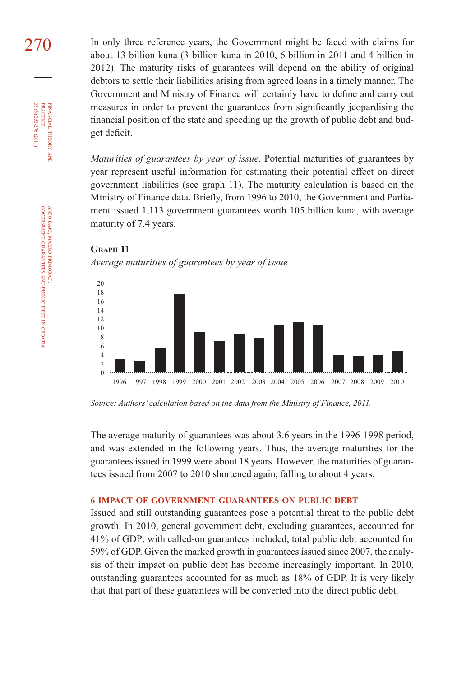270 In only three reference years, the Government might be faced with claims for about 13 billion kuna (3 billion kuna in 2010, 6 billion in 2011 and 4 billion in 2012). The maturity risks of guarantees will depend on the ability of original debtors to settle their liabilities arising from agreed loans in a timely manner. The Government and Ministry of Finance will certainly have to define and carry out measures in order to prevent the guarantees from significantly jeopardising the financial position of the state and speeding up the growth of public debt and budget deficit.

> *Maturities of guarantees by year of issue.* Potential maturities of guarantees by year represent useful information for estimating their potential effect on direct government liabilities (see graph 11). The maturity calculation is based on the Ministry of Finance data. Briefly, from 1996 to 2010, the Government and Parliament issued 1,113 government guarantees worth 105 billion kuna, with average maturity of 7.4 years.

# **GRAPH 11**

*Average maturities of guarantees by year of issue*



*Source: Authors' calculation based on the data from the Ministry of Finance, 2011.*

The average maturity of guarantees was about 3.6 years in the 1996-1998 period, and was extended in the following years. Thus, the average maturities for the guarantees issued in 1999 were about 18 years. However, the maturities of guarantees issued from 2007 to 2010 shortened again, falling to about 4 years.

# **6 IMPACT OF GOVERNMENT GUARANTEES ON PUBLIC DEBT**

Issued and still outstanding guarantees pose a potential threat to the public debt growth. In 2010, general government debt, excluding guarantees, accounted for 41% of GDP; with called-on guarantees included, total public debt accounted for 59% of GDP. Given the marked growth in guarantees issued since 2007, the analysis of their impact on public debt has become increasingly important. In 2010, outstanding guarantees accounted for as much as 18% of GDP. It is very likely that that part of these guarantees will be converted into the direct public debt.

FINANCIAL

FINANCIAL THEORY<br>PRACTICE 35 (3) 253-276 (2011)

35 (3) 253-276 (2011) PRACTICE

THEORY AND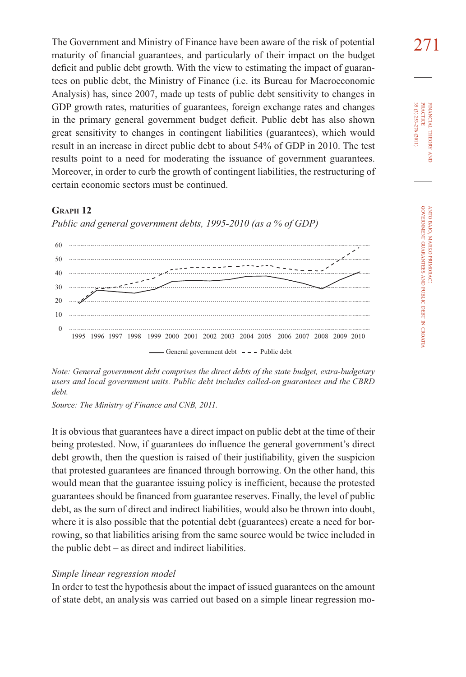The Government and Ministry of Finance have been aware of the risk of potential  $271$ maturity of financial guarantees, and particularly of their impact on the budget deficit and public debt growth. With the view to estimating the impact of guarantees on public debt, the Ministry of Finance (i.e. its Bureau for Macroeconomic Analysis) has, since 2007, made up tests of public debt sensitivity to changes in GDP growth rates, maturities of guarantees, foreign exchange rates and changes in the primary general government budget deficit. Public debt has also shown great sensitivity to changes in contingent liabilities (guarantees), which would result in an increase in direct public debt to about 54% of GDP in 2010. The test results point to a need for moderating the issuance of government guarantees. Moreover, in order to curb the growth of contingent liabilities, the restructuring of certain economic sectors must be continued.

# **GRAPH 12**

*Public and general government debts, 1995-2010 (as a % of GDP)*



*Note: General government debt comprises the direct debts of the state budget, extra-budgetary users and local government units. Public debt includes called-on guarantees and the CBRD debt.*

*Source: The Ministry of Finance and CNB, 2011.*

It is obvious that guarantees have a direct impact on public debt at the time of their being protested. Now, if guarantees do influence the general government's direct debt growth, then the question is raised of their justifiability, given the suspicion that protested guarantees are financed through borrowing. On the other hand, this would mean that the guarantee issuing policy is inefficient, because the protested guarantees should be financed from guarantee reserves. Finally, the level of public debt, as the sum of direct and indirect liabilities, would also be thrown into doubt, where it is also possible that the potential debt (guarantees) create a need for borrowing, so that liabilities arising from the same source would be twice included in the public debt – as direct and indirect liabilities.

#### *Simple linear regression model*

In order to test the hypothesis about the impact of issued guarantees on the amount of state debt, an analysis was carried out based on a simple linear regression mo-

FINANCIAL THEORY FINANCIAL THEORY AND<br>PRACTICE<br>35 (3) 253-276 (2011) 35 (3) 253-276 (2011) PRACTICE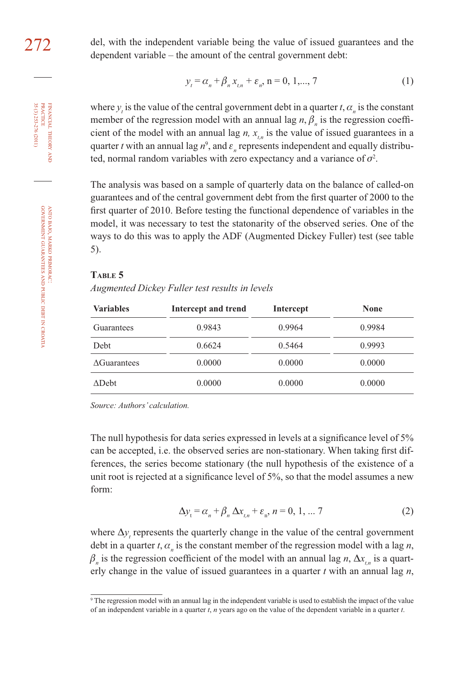THEORY

ANTO BAJO, MARKO PRIMORAC: GOVERNMENT GUARANTEES AND PUBLIC DEBT IN CROATIA

272 del, with the independent variable being the value of issued guarantees and the dependent variable – the amount of the central government debt:

$$
y_t = \alpha_n + \beta_n x_{t,n} + \varepsilon_n, \quad n = 0, 1, \dots, 7
$$
 (1)

where  $y_i$  is the value of the central government debt in a quarter  $t$ ,  $\alpha_n$  is the constant member of the regression model with an annual lag  $n, \beta_n$  is the regression coefficient of the model with an annual lag  $n$ ,  $x_{i,n}$  is the value of issued guarantees in a quarter *t* with an annual lag  $n^9$ , and  $\varepsilon_n$  represents independent and equally distributed, normal random variables with zero expectancy and a variance of  $\sigma^2$ .

The analysis was based on a sample of quarterly data on the balance of called-on guarantees and of the central government debt from the first quarter of 2000 to the first quarter of 2010. Before testing the functional dependence of variables in the model, it was necessary to test the statonarity of the observed series. One of the ways to do this was to apply the ADF (Augmented Dickey Fuller) test (see table 5).

#### **TABLE 5**

*Augmented Dickey Fuller test results in levels*

| <b>Variables</b>   | Intercept and trend | Intercept | <b>None</b> |
|--------------------|---------------------|-----------|-------------|
| Guarantees         | 0.9843              | 0.9964    | 0.9984      |
| Debt               | 0.6624              | 0.5464    | 0.9993      |
| <b>AGuarantees</b> | 0.0000              | 0.0000    | 0.0000      |
| $\triangle$ Debt   | 0.0000              | 0.0000    | 0.0000      |

*Source: Authors' calculation.*

The null hypothesis for data series expressed in levels at a significance level of 5% can be accepted, i.e. the observed series are non-stationary. When taking first differences, the series become stationary (the null hypothesis of the existence of a unit root is rejected at a significance level of  $5\%$ , so that the model assumes a new form:

$$
\Delta y_t = \alpha_n + \beta_n \Delta x_{t,n} + \varepsilon_n, n = 0, 1, \dots 7
$$
 (2)

where  $\Delta y_t$  represents the quarterly change in the value of the central government debt in a quarter *t*,  $\alpha_n$  is the constant member of the regression model with a lag *n*,  $\beta_n$  is the regression coefficient of the model with an annual lag *n*,  $\Delta x_{t,n}$  is a quarterly change in the value of issued guarantees in a quarter *t* with an annual lag *n*,

<sup>9</sup> The regression model with an annual lag in the independent variable is used to establish the impact of the value of an independent variable in a quarter *t*, *n* years ago on the value of the dependent variable in a quarter *t*.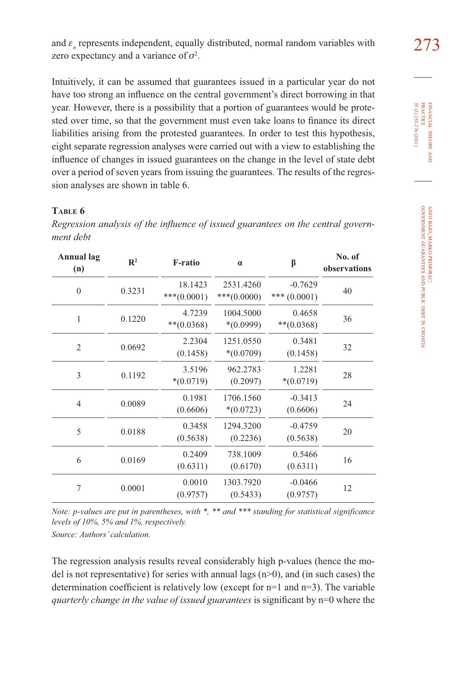and  $\varepsilon_n$  represents independent, equally distributed, normal random variables with  $273$ zero expectancy and a variance of  $\sigma^2$ .

Intuitively, it can be assumed that guarantees issued in a particular year do not have too strong an influence on the central government's direct borrowing in that year. However, there is a possibility that a portion of guarantees would be protested over time, so that the government must even take loans to finance its direct liabilities arising from the protested guarantees. In order to test this hypothesis, eight separate regression analyses were carried out with a view to establishing the influence of changes in issued guarantees on the change in the level of state debt over a period of seven years from issuing the guarantees. The results of the regression analyses are shown in table 6.

# **TABLE 6**

Regression analysis of the influence of issued guarantees on the central govern*ment debt*

| Annual lag<br>(n) | $\mathbb{R}^2$ | <b>F-ratio</b>            | $\alpha$                   | β                           | No. of<br>observations |
|-------------------|----------------|---------------------------|----------------------------|-----------------------------|------------------------|
| $\mathbf{0}$      | 0.3231         | 18.1423<br>*** $(0.0001)$ | 2531.4260<br>$***(0.0000)$ | $-0.7629$<br>*** $(0.0001)$ | 40                     |
| 1                 | 0.1220         | 4.7239<br>$**(0.0368)$    | 1004.5000<br>$*(0.0999)$   | 0.4658<br>$***(0.0368)$     | 36                     |
| $\overline{2}$    | 0.0692         | 2.2304<br>(0.1458)        | 1251.0550<br>$*(0.0709)$   | 0.3481<br>(0.1458)          | 32                     |
| 3                 | 0.1192         | 3.5196<br>$*(0.0719)$     | 962.2783<br>(0.2097)       | 1.2281<br>$*(0.0719)$       | 28                     |
| $\overline{4}$    | 0.0089         | 0.1981<br>(0.6606)        | 1706.1560<br>$*(0.0723)$   | $-0.3413$<br>(0.6606)       | 24                     |
| 5                 | 0.0188         | 0.3458<br>(0.5638)        | 1294.3200<br>(0.2236)      | $-0.4759$<br>(0.5638)       | 20                     |
| 6                 | 0.0169         | 0.2409<br>(0.6311)        | 738.1009<br>(0.6170)       | 0.5466<br>(0.6311)          | 16                     |
| 7                 | 0.0001         | 0.0010<br>(0.9757)        | 1303.7920<br>(0.5433)      | $-0.0466$<br>(0.9757)       | 12                     |

*Note: p-values are put in parentheses, with \*, \*\* and \*\*\* standing for statistical significance levels of 10%, 5% and 1%, respectively.*

*Source: Authors' calculation.*

The regression analysis results reveal considerably high p-values (hence the model is not representative) for series with annual lags  $(n>0)$ , and (in such cases) the determination coefficient is relatively low (except for  $n=1$  and  $n=3$ ). The variable *quarterly change in the value of issued guarantees* is significant by n=0 where the

FINANCIAL THEORY FINANCIAL THEORY AND<br>PRACTICE<br>35 (3) 253-276 (2011) 35 (3) 253-276 (2011) PRACTICE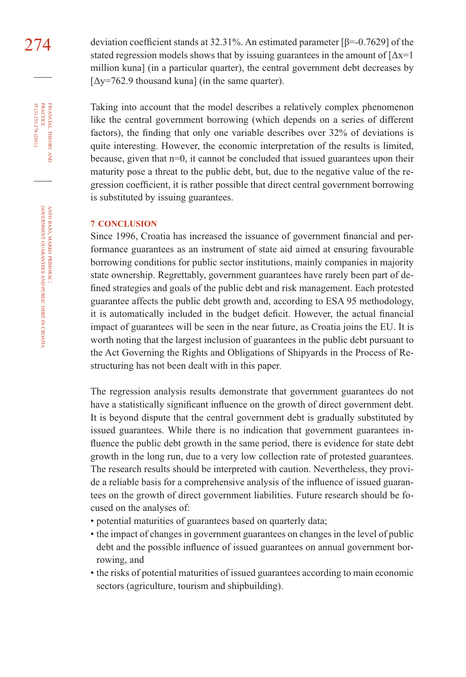274 deviation coefficient stands at 32.31%. An estimated parameter  $[\beta=0.7629]$  of the stated regression models shows that by issuing guarantees in the amount of  $[\Delta x=1]$ million kuna] (in a particular quarter), the central government debt decreases by  $[\Delta y = 762.9$  thousand kuna] (in the same quarter).

> Taking into account that the model describes a relatively complex phenomenon like the central government borrowing (which depends on a series of different factors), the finding that only one variable describes over 32% of deviations is quite interesting. However, the economic interpretation of the results is limited, because, given that n=0, it cannot be concluded that issued guarantees upon their maturity pose a threat to the public debt, but, due to the negative value of the regression coefficient, it is rather possible that direct central government borrowing is substituted by issuing guarantees.

# **7 CONCLUSION**

Since 1996, Croatia has increased the issuance of government financial and performance guarantees as an instrument of state aid aimed at ensuring favourable borrowing conditions for public sector institutions, mainly companies in majority state ownership. Regrettably, government guarantees have rarely been part of defined strategies and goals of the public debt and risk management. Each protested guarantee affects the public debt growth and, according to ESA 95 methodology, it is automatically included in the budget deficit. However, the actual financial impact of guarantees will be seen in the near future, as Croatia joins the EU. It is worth noting that the largest inclusion of guarantees in the public debt pursuant to the Act Governing the Rights and Obligations of Shipyards in the Process of Restructuring has not been dealt with in this paper.

The regression analysis results demonstrate that government guarantees do not have a statistically significant influence on the growth of direct government debt. It is beyond dispute that the central government debt is gradually substituted by issued guarantees. While there is no indication that government guarantees influence the public debt growth in the same period, there is evidence for state debt growth in the long run, due to a very low collection rate of protested guarantees. The research results should be interpreted with caution. Nevertheless, they provide a reliable basis for a comprehensive analysis of the influence of issued guarantees on the growth of direct government liabilities. Future research should be focused on the analyses of:

- potential maturities of guarantees based on quarterly data;
- the impact of changes in government guarantees on changes in the level of public debt and the possible influence of issued guarantees on annual government borrowing, and
- the risks of potential maturities of issued guarantees according to main economic sectors (agriculture, tourism and shipbuilding).

FINANCIAL THEORY AND PRACTICE 35 (3) 253-276 (2011) 35 (3) 253-276 (2011) PRACTICE FINANCIAL THEORY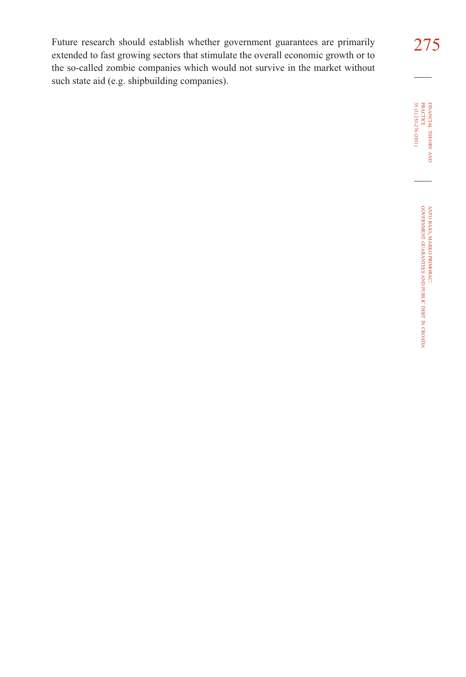Future research should establish whether government guarantees are primarily 275 extended to fast growing sectors that stimulate the overall economic growth or to the so-called zombie companies which would not survive in the market without such state aid (e.g. shipbuilding companies).

FINANCIAL THEORY FINANCIAL THEORY AND<br>PRACTICE<br>35 (3) 253-276 (2011) 35 (3) 253-276 (2011) PRACTICE